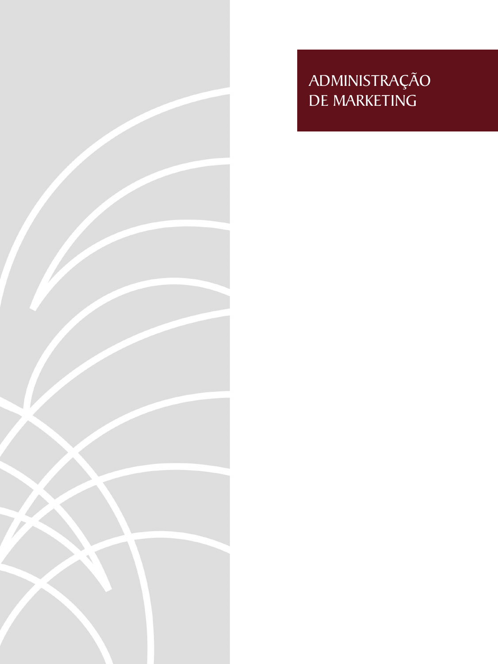

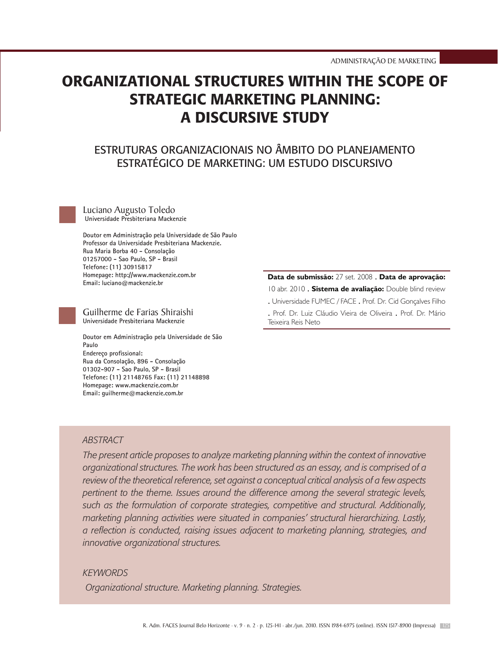Luciano Augusto Toledo . Guilherme de Farias Shiraishi

# ORGANIZATIONAL STRUCTURES WITHIN THE SCOPE OF STRATEGIC MARKETING PLANNING: A DISCURSIVE STUDY

# Estruturas Organizacionais no Âmbito do planejamento estratégico de marketing: um estudo discursivo

Luciano Augusto Toledo Universidade Presbiteriana Mackenzie

Doutor em Administração pela Universidade de São Paulo Professor da Universidade Presbiteriana Mackenzie. Rua Maria Borba 40 - Consolação 01257000 - Sao Paulo, SP - Brasil Telefone: (11) 30915817 Homepage: http://www.mackenzie.com.br Email: luciano@mackenzie.br

#### Guilherme de Farias Shiraishi Universidade Presbiteriana Mackenzie

Doutor em Administração pela Universidade de São Paulo Endereço profissional: Rua da Consolação, 896 - Consolação 01302-907 - Sao Paulo, SP - Brasil Telefone: (11) 21148765 Fax: (11) 21148898 Homepage: www.mackenzie.com.br Email: guilherme@mackenzie.com.br

#### **Data de submissão:** 27 set. 2008 . **Data de aprovação:**

10 abr. 2010 . **Sistema de avaliação:** Double blind review

. Universidade FUMEC / FACE . Prof. Dr. Cid Gonçalves Filho

. Prof. Dr. Luiz Cláudio Vieira de Oliveira . Prof. Dr. Mário Teixeira Reis Neto

### *ABSTRACT*

*The present article proposes to analyze marketing planning within the context of innovative organizational structures. The work has been structured as an essay, and is comprised of a review of the theoretical reference, set against a conceptual critical analysis of a few aspects pertinent to the theme. Issues around the difference among the several strategic levels, such as the formulation of corporate strategies, competitive and structural. Additionally, marketing planning activities were situated in companies' structural hierarchizing. Lastly, a reflection is conducted, raising issues adjacent to marketing planning, strategies, and innovative organizational structures.*

#### *KEYWORDS*

 *Organizational structure. Marketing planning. Strategies.*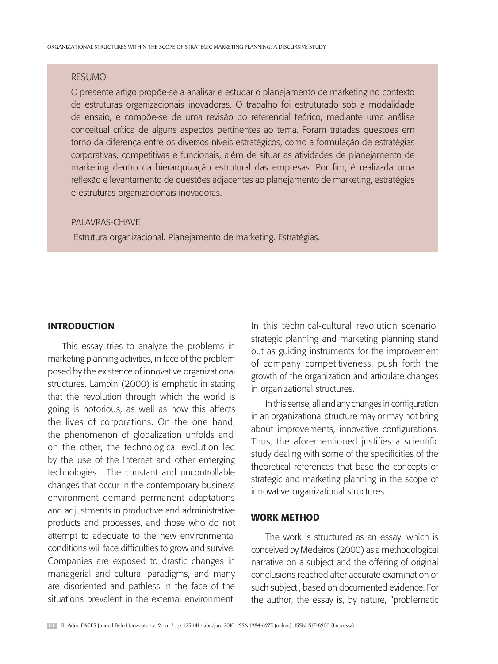#### RESUMO

O presente artigo propõe-se a analisar e estudar o planejamento de marketing no contexto de estruturas organizacionais inovadoras. O trabalho foi estruturado sob a modalidade de ensaio, e compõe-se de uma revisão do referencial teórico, mediante uma análise conceitual crítica de alguns aspectos pertinentes ao tema. Foram tratadas questões em torno da diferença entre os diversos níveis estratégicos, como a formulação de estratégias corporativas, competitivas e funcionais, além de situar as atividades de planejamento de marketing dentro da hierarquização estrutural das empresas. Por fim, é realizada uma reflexão e levantamento de questões adjacentes ao planejamento de marketing, estratégias e estruturas organizacionais inovadoras.

#### PALAVRAS-CHAVE

Estrutura organizacional. Planejamento de marketing. Estratégias.

#### **INTRODUCTION**

This essay tries to analyze the problems in marketing planning activities, in face of the problem posed by the existence of innovative organizational structures. Lambin (2000) is emphatic in stating that the revolution through which the world is going is notorious, as well as how this affects the lives of corporations. On the one hand, the phenomenon of globalization unfolds and, on the other, the technological evolution led by the use of the Internet and other emerging technologies. The constant and uncontrollable changes that occur in the contemporary business environment demand permanent adaptations and adjustments in productive and administrative products and processes, and those who do not attempt to adequate to the new environmental conditions will face difficulties to grow and survive. Companies are exposed to drastic changes in managerial and cultural paradigms, and many are disoriented and pathless in the face of the situations prevalent in the external environment.

In this technical-cultural revolution scenario, strategic planning and marketing planning stand out as guiding instruments for the improvement of company competitiveness, push forth the growth of the organization and articulate changes in organizational structures.

In this sense, all and any changes in configuration in an organizational structure may or may not bring about improvements, innovative configurations. Thus, the aforementioned justifies a scientific study dealing with some of the specificities of the theoretical references that base the concepts of strategic and marketing planning in the scope of innovative organizational structures.

### Work Method

The work is structured as an essay, which is conceived by Medeiros (2000) as a methodological narrative on a subject and the offering of original conclusions reached after accurate examination of such subject , based on documented evidence. For the author, the essay is, by nature, "problematic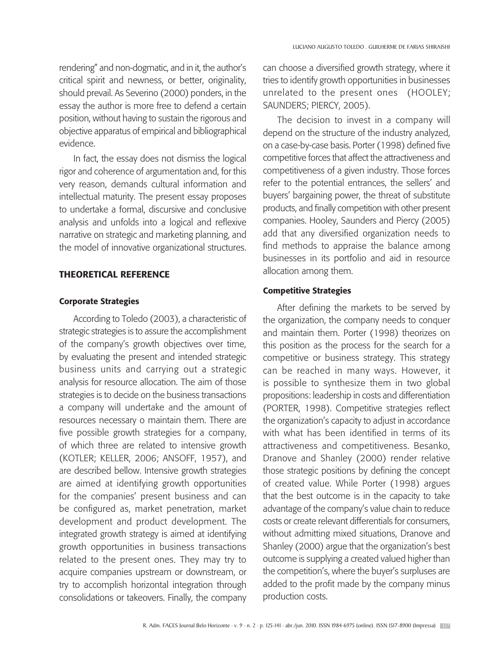rendering" and non-dogmatic, and in it, the author's critical spirit and newness, or better, originality, should prevail. As Severino (2000) ponders, in the essay the author is more free to defend a certain position, without having to sustain the rigorous and objective apparatus of empirical and bibliographical evidence.

In fact, the essay does not dismiss the logical rigor and coherence of argumentation and, for this very reason, demands cultural information and intellectual maturity. The present essay proposes to undertake a formal, discursive and conclusive analysis and unfolds into a logical and reflexive narrative on strategic and marketing planning, and the model of innovative organizational structures.

### Theoretical Reference

#### Corporate Strategies

According to Toledo (2003), a characteristic of strategic strategies is to assure the accomplishment of the company's growth objectives over time, by evaluating the present and intended strategic business units and carrying out a strategic analysis for resource allocation. The aim of those strategies is to decide on the business transactions a company will undertake and the amount of resources necessary o maintain them. There are five possible growth strategies for a company, of which three are related to intensive growth (KOTLER; KELLER, 2006; ANSOFF, 1957), and are described bellow. Intensive growth strategies are aimed at identifying growth opportunities for the companies' present business and can be configured as, market penetration, market development and product development. The integrated growth strategy is aimed at identifying growth opportunities in business transactions related to the present ones. They may try to acquire companies upstream or downstream, or try to accomplish horizontal integration through consolidations or takeovers. Finally, the company

can choose a diversified growth strategy, where it tries to identify growth opportunities in businesses unrelated to the present ones (HOOLEY; SAUNDERS; PIERCY, 2005).

The decision to invest in a company will depend on the structure of the industry analyzed, on a case-by-case basis. Porter (1998) defined five competitive forces that affect the attractiveness and competitiveness of a given industry. Those forces refer to the potential entrances, the sellers' and buyers' bargaining power, the threat of substitute products, and finally competition with other present companies. Hooley, Saunders and Piercy (2005) add that any diversified organization needs to find methods to appraise the balance among businesses in its portfolio and aid in resource allocation among them.

#### Competitive Strategies

After defining the markets to be served by the organization, the company needs to conquer and maintain them. Porter (1998) theorizes on this position as the process for the search for a competitive or business strategy. This strategy can be reached in many ways. However, it is possible to synthesize them in two global propositions: leadership in costs and differentiation (PORTER, 1998). Competitive strategies reflect the organization's capacity to adjust in accordance with what has been identified in terms of its attractiveness and competitiveness. Besanko, Dranove and Shanley (2000) render relative those strategic positions by defining the concept of created value. While Porter (1998) argues that the best outcome is in the capacity to take advantage of the company's value chain to reduce costs or create relevant differentials for consumers, without admitting mixed situations, Dranove and Shanley (2000) argue that the organization's best outcome is supplying a created valued higher than the competition's, where the buyer's surpluses are added to the profit made by the company minus production costs.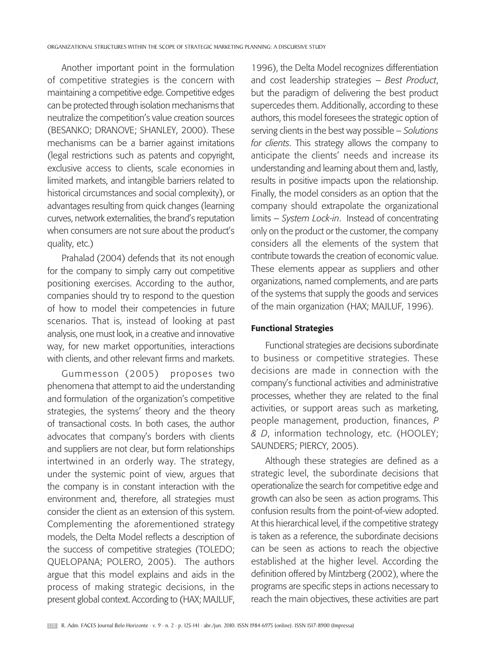Another important point in the formulation of competitive strategies is the concern with maintaining a competitive edge. Competitive edges can be protected through isolation mechanisms that neutralize the competition's value creation sources (BESANKO; DRANOVE; SHANLEY, 2000). These mechanisms can be a barrier against imitations (legal restrictions such as patents and copyright, exclusive access to clients, scale economies in limited markets, and intangible barriers related to historical circumstances and social complexity), or advantages resulting from quick changes (learning curves, network externalities, the brand's reputation when consumers are not sure about the product's quality, etc.)

Prahalad (2004) defends that its not enough for the company to simply carry out competitive positioning exercises. According to the author, companies should try to respond to the question of how to model their competencies in future scenarios. That is, instead of looking at past analysis, one must look, in a creative and innovative way, for new market opportunities, interactions with clients, and other relevant firms and markets.

Gummesson (2005) proposes two phenomena that attempt to aid the understanding and formulation of the organization's competitive strategies, the systems' theory and the theory of transactional costs. In both cases, the author advocates that company's borders with clients and suppliers are not clear, but form relationships intertwined in an orderly way. The strategy, under the systemic point of view, argues that the company is in constant interaction with the environment and, therefore, all strategies must consider the client as an extension of this system. Complementing the aforementioned strategy models, the Delta Model reflects a description of the success of competitive strategies (TOLEDO; QUELOPANA; POLERO, 2005). The authors argue that this model explains and aids in the process of making strategic decisions, in the present global context. According to (HAX; MAJLUF,

1996), the Delta Model recognizes differentiation and cost leadership strategies – *Best Product*, but the paradigm of delivering the best product supercedes them. Additionally, according to these authors, this model foresees the strategic option of serving clients in the best way possible – *Solutions for clients*. This strategy allows the company to anticipate the clients' needs and increase its understanding and learning about them and, lastly, results in positive impacts upon the relationship. Finally, the model considers as an option that the company should extrapolate the organizational limits – *System Lock-in*. Instead of concentrating only on the product or the customer, the company considers all the elements of the system that contribute towards the creation of economic value. These elements appear as suppliers and other organizations, named complements, and are parts of the systems that supply the goods and services of the main organization (HAX; MAJLUF, 1996).

#### Functional Strategies

Functional strategies are decisions subordinate to business or competitive strategies. These decisions are made in connection with the company's functional activities and administrative processes, whether they are related to the final activities, or support areas such as marketing, people management, production, finances, *P & D*, information technology, etc. (HOOLEY; SAUNDERS; PIERCY, 2005).

Although these strategies are defined as a strategic level, the subordinate decisions that operationalize the search for competitive edge and growth can also be seen as action programs. This confusion results from the point-of-view adopted. At this hierarchical level, if the competitive strategy is taken as a reference, the subordinate decisions can be seen as actions to reach the objective established at the higher level. According the definition offered by Mintzberg (2002), where the programs are specific steps in actions necessary to reach the main objectives, these activities are part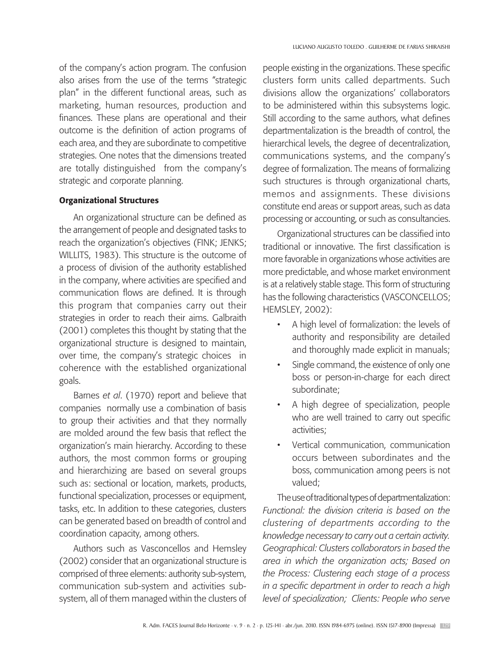of the company's action program. The confusion also arises from the use of the terms "strategic plan" in the different functional areas, such as marketing, human resources, production and finances. These plans are operational and their outcome is the definition of action programs of each area, and they are subordinate to competitive strategies. One notes that the dimensions treated are totally distinguished from the company's strategic and corporate planning.

#### Organizational Structures

An organizational structure can be defined as the arrangement of people and designated tasks to reach the organization's objectives (FINK; JENKS; WILLITS, 1983). This structure is the outcome of a process of division of the authority established in the company, where activities are specified and communication flows are defined. It is through this program that companies carry out their strategies in order to reach their aims. Galbraith (2001) completes this thought by stating that the organizational structure is designed to maintain, over time, the company's strategic choices in coherence with the established organizational goals.

Barnes *et al*. (1970) report and believe that companies normally use a combination of basis to group their activities and that they normally are molded around the few basis that reflect the organization's main hierarchy. According to these authors, the most common forms or grouping and hierarchizing are based on several groups such as: sectional or location, markets, products, functional specialization, processes or equipment, tasks, etc. In addition to these categories, clusters can be generated based on breadth of control and coordination capacity, among others.

Authors such as Vasconcellos and Hemsley (2002) consider that an organizational structure is comprised of three elements: authority sub-system, communication sub-system and activities subsystem, all of them managed within the clusters of people existing in the organizations. These specific clusters form units called departments. Such divisions allow the organizations' collaborators to be administered within this subsystems logic. Still according to the same authors, what defines departmentalization is the breadth of control, the hierarchical levels, the degree of decentralization, communications systems, and the company's degree of formalization. The means of formalizing such structures is through organizational charts, memos and assignments. These divisions constitute end areas or support areas, such as data processing or accounting, or such as consultancies.

Organizational structures can be classified into traditional or innovative. The first classification is more favorable in organizations whose activities are more predictable, and whose market environment is at a relatively stable stage. This form of structuring has the following characteristics (VASCONCELLOS; HEMSLEY, 2002):

- A high level of formalization: the levels of authority and responsibility are detailed and thoroughly made explicit in manuals;
- Single command, the existence of only one boss or person-in-charge for each direct subordinate;
- A high degree of specialization, people who are well trained to carry out specific activities;
- Vertical communication, communication occurs between subordinates and the boss, communication among peers is not valued;

The use of traditional types of departmentalization: *Functional: the division criteria is based on the clustering of departments according to the knowledge necessary to carry out a certain activity. Geographical: Clusters collaborators in based the area in which the organization acts; Based on the Process: Clustering each stage of a process in a specific department in order to reach a high level of specialization; Clients: People who serve*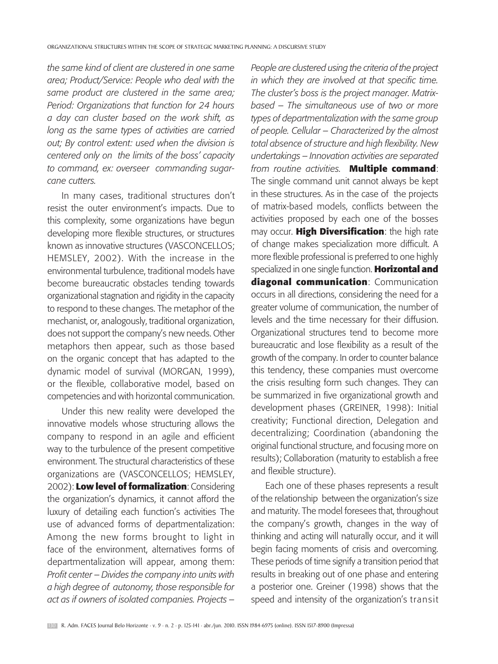*the same kind of client are clustered in one same area; Product/Service: People who deal with the same product are clustered in the same area; Period: Organizations that function for 24 hours a day can cluster based on the work shift, as long as the same types of activities are carried out; By control extent: used when the division is centered only on the limits of the boss' capacity to command, ex: overseer commanding sugarcane cutters.*

In many cases, traditional structures don't resist the outer environment's impacts. Due to this complexity, some organizations have begun developing more flexible structures, or structures known as innovative structures (VASCONCELLOS; HEMSLEY, 2002). With the increase in the environmental turbulence, traditional models have become bureaucratic obstacles tending towards organizational stagnation and rigidity in the capacity to respond to these changes. The metaphor of the mechanist, or, analogously, traditional organization, does not support the company's new needs. Other metaphors then appear, such as those based on the organic concept that has adapted to the dynamic model of survival (MORGAN, 1999), or the flexible, collaborative model, based on competencies and with horizontal communication.

Under this new reality were developed the innovative models whose structuring allows the company to respond in an agile and efficient way to the turbulence of the present competitive environment. The structural characteristics of these organizations are (VASCONCELLOS; HEMSLEY, 2002): **Low level of formalization**: Considering the organization's dynamics, it cannot afford the luxury of detailing each function's activities The use of advanced forms of departmentalization: Among the new forms brought to light in face of the environment, alternatives forms of departmentalization will appear, among them: *Profit center – Divides the company into units with a high degree of autonomy, those responsible for act as if owners of isolated companies. Projects –* 

*People are clustered using the criteria of the project in which they are involved at that specific time. The cluster's boss is the project manager. Matrixbased – The simultaneous use of two or more types of departmentalization with the same group of people. Cellular – Characterized by the almost total absence of structure and high flexibility. New undertakings – Innovation activities are separated from routine activities.* **Multiple command**: The single command unit cannot always be kept in these structures. As in the case of the projects of matrix-based models, conflicts between the activities proposed by each one of the bosses may occur. **High Diversification**: the high rate of change makes specialization more difficult. A more flexible professional is preferred to one highly specialized in one single function. **Horizontal and diagonal communication**: Communication occurs in all directions, considering the need for a greater volume of communication, the number of levels and the time necessary for their diffusion. Organizational structures tend to become more bureaucratic and lose flexibility as a result of the growth of the company. In order to counter balance this tendency, these companies must overcome the crisis resulting form such changes. They can be summarized in five organizational growth and development phases (GREINER, 1998): Initial creativity; Functional direction, Delegation and decentralizing; Coordination (abandoning the original functional structure, and focusing more on results); Collaboration (maturity to establish a free and flexible structure).

Each one of these phases represents a result of the relationship between the organization's size and maturity. The model foresees that, throughout the company's growth, changes in the way of thinking and acting will naturally occur, and it will begin facing moments of crisis and overcoming. These periods of time signify a transition period that results in breaking out of one phase and entering a posterior one. Greiner (1998) shows that the speed and intensity of the organization's transit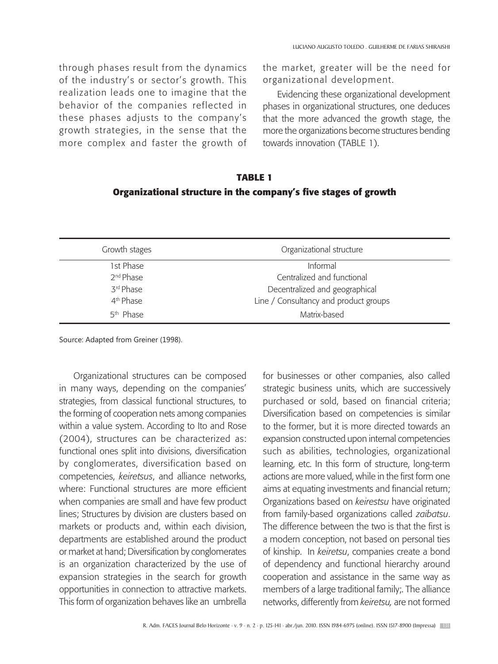through phases result from the dynamics of the industry's or sector's growth. This realization leads one to imagine that the behavior of the companies reflected in these phases adjusts to the company's growth strategies, in the sense that the more complex and faster the growth of the market, greater will be the need for organizational development.

Evidencing these organizational development phases in organizational structures, one deduces that the more advanced the growth stage, the more the organizations become structures bending towards innovation (TABLE 1).

# **TABLE 1 Organizational structure in the company's five stages of growth**

| Growth stages         | Organizational structure              |
|-----------------------|---------------------------------------|
| 1st Phase             | Informal                              |
| 2 <sup>nd</sup> Phase | Centralized and functional            |
| 3rd Phase             | Decentralized and geographical        |
| 4 <sup>th</sup> Phase | Line / Consultancy and product groups |
| 5 <sup>th</sup> Phase | Matrix-based                          |

Source: Adapted from Greiner (1998).

Organizational structures can be composed in many ways, depending on the companies' strategies, from classical functional structures, to the forming of cooperation nets among companies within a value system. According to Ito and Rose (2004), structures can be characterized as: functional ones split into divisions, diversification by conglomerates, diversification based on competencies, *keiretsus*, and alliance networks, where: Functional structures are more efficient when companies are small and have few product lines; Structures by division are clusters based on markets or products and, within each division, departments are established around the product or market at hand; Diversification by conglomerates is an organization characterized by the use of expansion strategies in the search for growth opportunities in connection to attractive markets. This form of organization behaves like an umbrella

for businesses or other companies, also called strategic business units, which are successively purchased or sold, based on financial criteria; Diversification based on competencies is similar to the former, but it is more directed towards an expansion constructed upon internal competencies such as abilities, technologies, organizational learning, etc. In this form of structure, long-term actions are more valued, while in the first form one aims at equating investments and financial return; Organizations based on *keirestsu* have originated from family-based organizations called *zaibatsu*. The difference between the two is that the first is a modern conception, not based on personal ties of kinship. In *keiretsu*, companies create a bond of dependency and functional hierarchy around cooperation and assistance in the same way as members of a large traditional family;. The alliance networks, differently from *keiretsu,* are not formed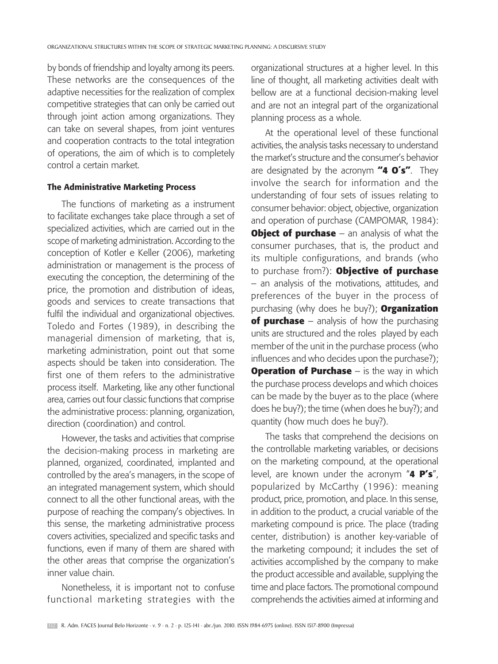by bonds of friendship and loyalty among its peers. These networks are the consequences of the adaptive necessities for the realization of complex competitive strategies that can only be carried out through joint action among organizations. They can take on several shapes, from joint ventures and cooperation contracts to the total integration of operations, the aim of which is to completely control a certain market.

# The Administrative Marketing Process

The functions of marketing as a instrument to facilitate exchanges take place through a set of specialized activities, which are carried out in the scope of marketing administration. According to the conception of Kotler e Keller (2006), marketing administration or management is the process of executing the conception, the determining of the price, the promotion and distribution of ideas, goods and services to create transactions that fulfil the individual and organizational objectives. Toledo and Fortes (1989), in describing the managerial dimension of marketing, that is, marketing administration, point out that some aspects should be taken into consideration. The first one of them refers to the administrative process itself. Marketing, like any other functional area, carries out four classic functions that comprise the administrative process: planning, organization, direction (coordination) and control.

However, the tasks and activities that comprise the decision-making process in marketing are planned, organized, coordinated, implanted and controlled by the area's managers, in the scope of an integrated management system, which should connect to all the other functional areas, with the purpose of reaching the company's objectives. In this sense, the marketing administrative process covers activities, specialized and specific tasks and functions, even if many of them are shared with the other areas that comprise the organization's inner value chain.

Nonetheless, it is important not to confuse functional marketing strategies with the organizational structures at a higher level. In this line of thought, all marketing activities dealt with bellow are at a functional decision-making level and are not an integral part of the organizational planning process as a whole.

At the operational level of these functional activities, the analysis tasks necessary to understand the market's structure and the consumer's behavior are designated by the acronym **"4 O´s"**. They involve the search for information and the understanding of four sets of issues relating to consumer behavior: object, objective, organization and operation of purchase (CAMPOMAR, 1984): **Object of purchase** – an analysis of what the consumer purchases, that is, the product and its multiple configurations, and brands (who to purchase from?): **Objective of purchase** – an analysis of the motivations, attitudes, and preferences of the buyer in the process of purchasing (why does he buy?); **Organization of purchase** – analysis of how the purchasing units are structured and the roles played by each member of the unit in the purchase process (who influences and who decides upon the purchase?); **Operation of Purchase** – is the way in which the purchase process develops and which choices can be made by the buyer as to the place (where does he buy?); the time (when does he buy?); and quantity (how much does he buy?).

The tasks that comprehend the decisions on the controllable marketing variables, or decisions on the marketing compound, at the operational level, are known under the acronym "**4 P's**", popularized by McCarthy (1996): meaning product, price, promotion, and place. In this sense, in addition to the product, a crucial variable of the marketing compound is price. The place (trading center, distribution) is another key-variable of the marketing compound; it includes the set of activities accomplished by the company to make the product accessible and available, supplying the time and place factors. The promotional compound comprehends the activities aimed at informing and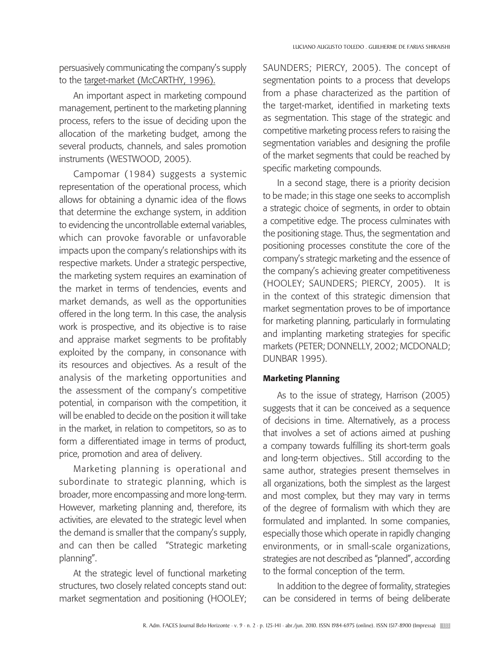persuasively communicating the company's supply to the target-market (McCARTHY, 1996).

An important aspect in marketing compound management, pertinent to the marketing planning process, refers to the issue of deciding upon the allocation of the marketing budget, among the several products, channels, and sales promotion instruments (WESTWOOD, 2005).

Campomar (1984) suggests a systemic representation of the operational process, which allows for obtaining a dynamic idea of the flows that determine the exchange system, in addition to evidencing the uncontrollable external variables, which can provoke favorable or unfavorable impacts upon the company's relationships with its respective markets. Under a strategic perspective, the marketing system requires an examination of the market in terms of tendencies, events and market demands, as well as the opportunities offered in the long term. In this case, the analysis work is prospective, and its objective is to raise and appraise market segments to be profitably exploited by the company, in consonance with its resources and objectives. As a result of the analysis of the marketing opportunities and the assessment of the company's competitive potential, in comparison with the competition, it will be enabled to decide on the position it will take in the market, in relation to competitors, so as to form a differentiated image in terms of product, price, promotion and area of delivery.

Marketing planning is operational and subordinate to strategic planning, which is broader, more encompassing and more long-term. However, marketing planning and, therefore, its activities, are elevated to the strategic level when the demand is smaller that the company's supply, and can then be called "Strategic marketing planning".

At the strategic level of functional marketing structures, two closely related concepts stand out: market segmentation and positioning (HOOLEY; SAUNDERS; PIERCY, 2005). The concept of segmentation points to a process that develops from a phase characterized as the partition of the target-market, identified in marketing texts as segmentation. This stage of the strategic and competitive marketing process refers to raising the segmentation variables and designing the profile of the market segments that could be reached by specific marketing compounds.

In a second stage, there is a priority decision to be made; in this stage one seeks to accomplish a strategic choice of segments, in order to obtain a competitive edge. The process culminates with the positioning stage. Thus, the segmentation and positioning processes constitute the core of the company's strategic marketing and the essence of the company's achieving greater competitiveness (HOOLEY; SAUNDERS; PIERCY, 2005). It is in the context of this strategic dimension that market segmentation proves to be of importance for marketing planning, particularly in formulating and implanting marketing strategies for specific markets (PETER; DONNELLY, 2002; MCDONALD; Dunbar 1995).

### Marketing Planning

As to the issue of strategy, Harrison (2005) suggests that it can be conceived as a sequence of decisions in time. Alternatively, as a process that involves a set of actions aimed at pushing a company towards fulfilling its short-term goals and long-term objectives.. Still according to the same author, strategies present themselves in all organizations, both the simplest as the largest and most complex, but they may vary in terms of the degree of formalism with which they are formulated and implanted. In some companies, especially those which operate in rapidly changing environments, or in small-scale organizations, strategies are not described as "planned", according to the formal conception of the term.

In addition to the degree of formality, strategies can be considered in terms of being deliberate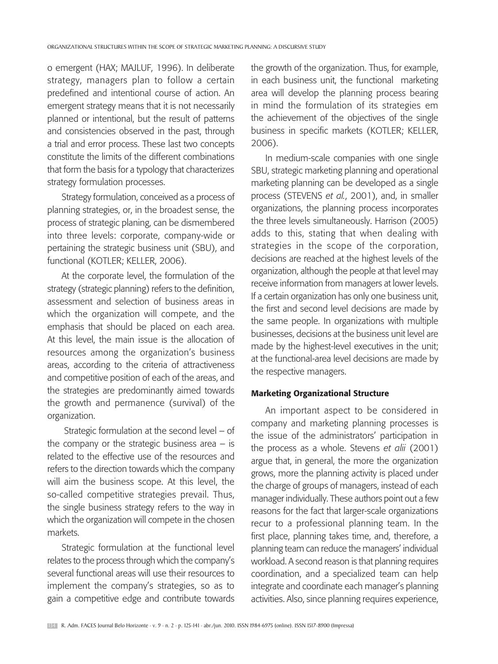o emergent (HAX; MAJLUF, 1996). In deliberate strategy, managers plan to follow a certain predefined and intentional course of action. An emergent strategy means that it is not necessarily planned or intentional, but the result of patterns and consistencies observed in the past, through a trial and error process. These last two concepts constitute the limits of the different combinations that form the basis for a typology that characterizes strategy formulation processes.

Strategy formulation, conceived as a process of planning strategies, or, in the broadest sense, the process of strategic planing, can be dismembered into three levels: corporate, company-wide or pertaining the strategic business unit (SBU), and functional (KOTLER; KELLER, 2006).

At the corporate level, the formulation of the strategy (strategic planning) refers to the definition, assessment and selection of business areas in which the organization will compete, and the emphasis that should be placed on each area. At this level, the main issue is the allocation of resources among the organization's business areas, according to the criteria of attractiveness and competitive position of each of the areas, and the strategies are predominantly aimed towards the growth and permanence (survival) of the organization.

 Strategic formulation at the second level – of the company or the strategic business area  $-$  is related to the effective use of the resources and refers to the direction towards which the company will aim the business scope. At this level, the so-called competitive strategies prevail. Thus, the single business strategy refers to the way in which the organization will compete in the chosen markets.

Strategic formulation at the functional level relates to the process through which the company's several functional areas will use their resources to implement the company's strategies, so as to gain a competitive edge and contribute towards the growth of the organization. Thus, for example, in each business unit, the functional marketing area will develop the planning process bearing in mind the formulation of its strategies em the achievement of the objectives of the single business in specific markets (KOTLER; KELLER, 2006).

In medium-scale companies with one single SBU, strategic marketing planning and operational marketing planning can be developed as a single process (STEVENS *et al.*, 2001), and, in smaller organizations, the planning process incorporates the three levels simultaneously. Harrison (2005) adds to this, stating that when dealing with strategies in the scope of the corporation, decisions are reached at the highest levels of the organization, although the people at that level may receive information from managers at lower levels. If a certain organization has only one business unit, the first and second level decisions are made by the same people. In organizations with multiple businesses, decisions at the business unit level are made by the highest-level executives in the unit; at the functional-area level decisions are made by the respective managers.

#### Marketing Organizational Structure

An important aspect to be considered in company and marketing planning processes is the issue of the administrators' participation in the process as a whole. Stevens *et alii* (2001) argue that, in general, the more the organization grows, more the planning activity is placed under the charge of groups of managers, instead of each manager individually. These authors point out a few reasons for the fact that larger-scale organizations recur to a professional planning team. In the first place, planning takes time, and, therefore, a planning team can reduce the managers' individual workload. A second reason is that planning requires coordination, and a specialized team can help integrate and coordinate each manager's planning activities. Also, since planning requires experience,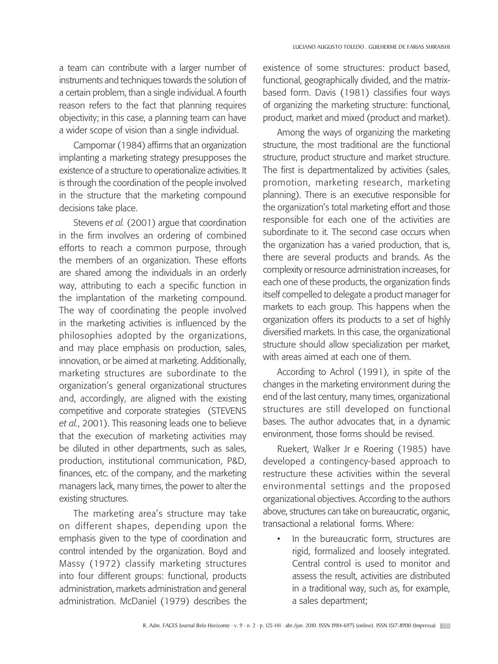a team can contribute with a larger number of instruments and techniques towards the solution of a certain problem, than a single individual. A fourth reason refers to the fact that planning requires objectivity; in this case, a planning team can have a wider scope of vision than a single individual.

Campomar (1984) affirms that an organization implanting a marketing strategy presupposes the existence of a structure to operationalize activities. It is through the coordination of the people involved in the structure that the marketing compound decisions take place.

Stevens *et al.* (2001) argue that coordination in the firm involves an ordering of combined efforts to reach a common purpose, through the members of an organization. These efforts are shared among the individuals in an orderly way, attributing to each a specific function in the implantation of the marketing compound. The way of coordinating the people involved in the marketing activities is influenced by the philosophies adopted by the organizations, and may place emphasis on production, sales, innovation, or be aimed at marketing. Additionally, marketing structures are subordinate to the organization's general organizational structures and, accordingly, are aligned with the existing competitive and corporate strategies (STEVENS *et al.*, 2001). This reasoning leads one to believe that the execution of marketing activities may be diluted in other departments, such as sales, production, institutional communication, P&D, finances, etc. of the company, and the marketing managers lack, many times, the power to alter the existing structures.

The marketing area's structure may take on different shapes, depending upon the emphasis given to the type of coordination and control intended by the organization. Boyd and Massy (1972) classify marketing structures into four different groups: functional, products administration, markets administration and general administration. McDaniel (1979) describes the

existence of some structures: product based, functional, geographically divided, and the matrixbased form. Davis (1981) classifies four ways of organizing the marketing structure: functional, product, market and mixed (product and market).

Among the ways of organizing the marketing structure, the most traditional are the functional structure, product structure and market structure. The first is departmentalized by activities (sales, promotion, marketing research, marketing planning). There is an executive responsible for the organization's total marketing effort and those responsible for each one of the activities are subordinate to it. The second case occurs when the organization has a varied production, that is, there are several products and brands. As the complexity or resource administration increases, for each one of these products, the organization finds itself compelled to delegate a product manager for markets to each group. This happens when the organization offers its products to a set of highly diversified markets. In this case, the organizational structure should allow specialization per market, with areas aimed at each one of them.

According to Achrol (1991), in spite of the changes in the marketing environment during the end of the last century, many times, organizational structures are still developed on functional bases. The author advocates that, in a dynamic environment, those forms should be revised.

Ruekert, Walker Jr e Roering (1985) have developed a contingency-based approach to restructure these activities within the several environmental settings and the proposed organizational objectives. According to the authors above, structures can take on bureaucratic, organic, transactional a relational forms. Where:

In the bureaucratic form, structures are rigid, formalized and loosely integrated. Central control is used to monitor and assess the result, activities are distributed in a traditional way, such as, for example, a sales department;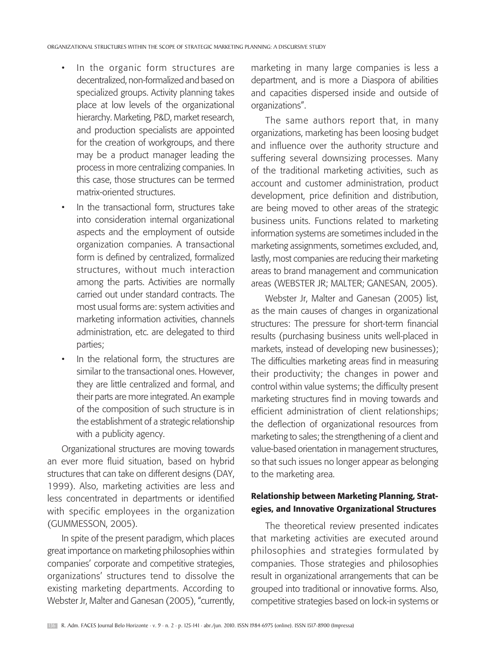- In the organic form structures are decentralized, non-formalized and based on specialized groups. Activity planning takes place at low levels of the organizational hierarchy. Marketing, P&D, market research, and production specialists are appointed for the creation of workgroups, and there may be a product manager leading the process in more centralizing companies. In this case, those structures can be termed matrix-oriented structures.
- In the transactional form, structures take into consideration internal organizational aspects and the employment of outside organization companies. A transactional form is defined by centralized, formalized structures, without much interaction among the parts. Activities are normally carried out under standard contracts. The most usual forms are: system activities and marketing information activities, channels administration, etc. are delegated to third parties;
- In the relational form, the structures are similar to the transactional ones. However, they are little centralized and formal, and their parts are more integrated. An example of the composition of such structure is in the establishment of a strategic relationship with a publicity agency.

Organizational structures are moving towards an ever more fluid situation, based on hybrid structures that can take on different designs (DAY, 1999). Also, marketing activities are less and less concentrated in departments or identified with specific employees in the organization (GUMMESSON, 2005).

In spite of the present paradigm, which places great importance on marketing philosophies within companies' corporate and competitive strategies, organizations' structures tend to dissolve the existing marketing departments. According to Webster Jr, Malter and Ganesan (2005), "currently, marketing in many large companies is less a department, and is more a Diaspora of abilities and capacities dispersed inside and outside of organizations".

The same authors report that, in many organizations, marketing has been loosing budget and influence over the authority structure and suffering several downsizing processes. Many of the traditional marketing activities, such as account and customer administration, product development, price definition and distribution, are being moved to other areas of the strategic business units. Functions related to marketing information systems are sometimes included in the marketing assignments, sometimes excluded, and, lastly, most companies are reducing their marketing areas to brand management and communication areas (WEBSTER JR; MALTER; GANESAN, 2005).

Webster Jr, Malter and Ganesan (2005) list, as the main causes of changes in organizational structures: The pressure for short-term financial results (purchasing business units well-placed in markets, instead of developing new businesses); The difficulties marketing areas find in measuring their productivity; the changes in power and control within value systems; the difficulty present marketing structures find in moving towards and efficient administration of client relationships; the deflection of organizational resources from marketing to sales; the strengthening of a client and value-based orientation in management structures, so that such issues no longer appear as belonging to the marketing area.

# Relationship between Marketing Planning, Strategies, and Innovative Organizational Structures

The theoretical review presented indicates that marketing activities are executed around philosophies and strategies formulated by companies. Those strategies and philosophies result in organizational arrangements that can be grouped into traditional or innovative forms. Also, competitive strategies based on lock-in systems or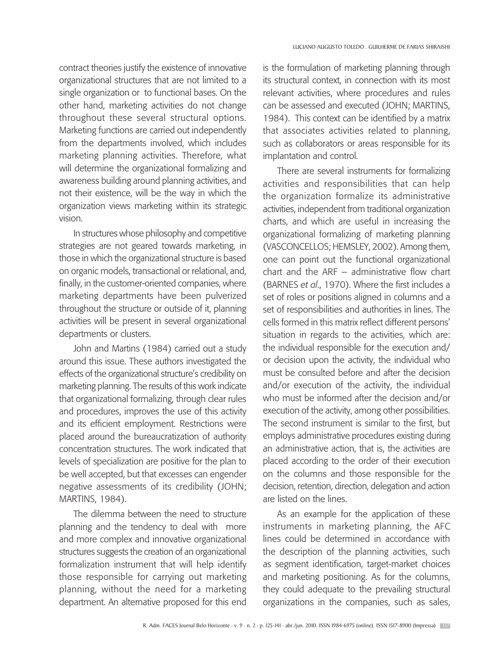contract theories justify the existence of innovative organizational structures that are not limited to a single organization or to functional bases. On the other hand, marketing activities do not change throughout these several structural options. Marketing functions are carried out independently from the departments involved, which includes marketing planning activities. Therefore, what will determine the organizational formalizing and awareness building around planning activities, and not their existence, will be the way in which the organization views marketing within its strategic vision.

In structures whose philosophy and competitive strategies are not geared towards marketing, in those in which the organizational structure is based on organic models, transactional or relational, and, finally, in the customer-oriented companies, where marketing departments have been pulverized throughout the structure or outside of it, planning activities will be present in several organizational departments or clusters.

John and Martins (1984) carried out a study around this issue. These authors investigated the effects of the organizational structure's credibility on marketing planning. The results of this work indicate that organizational formalizing, through clear rules and procedures, improves the use of this activity and its efficient employment. Restrictions were placed around the bureaucratization of authority concentration structures. The work indicated that levels of specialization are positive for the plan to be well accepted, but that excesses can engender negative assessments of its credibility (JOHN; MARTINS, 1984).

The dilemma between the need to structure planning and the tendency to deal with more and more complex and innovative organizational structures suggests the creation of an organizational formalization instrument that will help identify those responsible for carrying out marketing planning, without the need for a marketing department. An alternative proposed for this end

is the formulation of marketing planning through its structural context, in connection with its most relevant activities, where procedures and rules can be assessed and executed (JOHN; MARTINS, 1984). This context can be identified by a matrix that associates activities related to planning, such as collaborators or areas responsible for its implantation and control.

There are several instruments for formalizing activities and responsibilities that can help the organization formalize its administrative activities, independent from traditional organization charts, and which are useful in increasing the organizational formalizing of marketing planning (Vasconcellos; Hemsley, 2002). Among them, one can point out the functional organizational chart and the ARF – administrative flow chart (BARNES *et al*., 1970). Where the first includes a set of roles or positions aligned in columns and a set of responsibilities and authorities in lines. The cells formed in this matrix reflect different persons' situation in regards to the activities, which are: the individual responsible for the execution and/ or decision upon the activity, the individual who must be consulted before and after the decision and/or execution of the activity, the individual who must be informed after the decision and/or execution of the activity, among other possibilities. The second instrument is similar to the first, but employs administrative procedures existing during an administrative action, that is, the activities are placed according to the order of their execution on the columns and those responsible for the decision, retention, direction, delegation and action are listed on the lines.

As an example for the application of these instruments in marketing planning, the AFC lines could be determined in accordance with the description of the planning activities, such as segment identification, target-market choices and marketing positioning. As for the columns, they could adequate to the prevailing structural organizations in the companies, such as sales,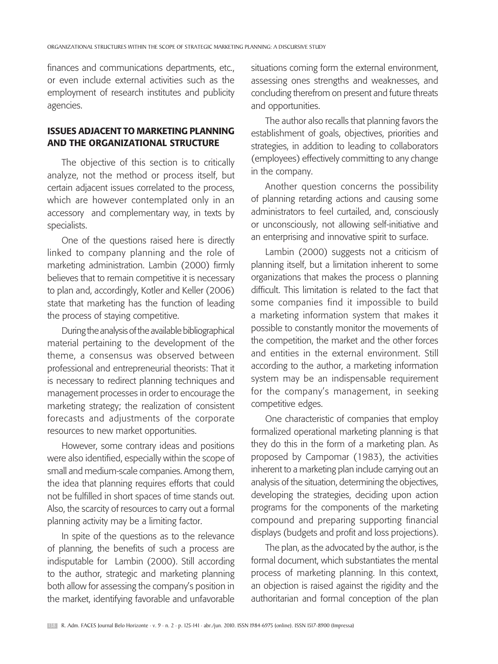finances and communications departments, etc., or even include external activities such as the employment of research institutes and publicity agencies.

# Issues adjacent to Marketing Planning and the Organizational Structure

The objective of this section is to critically analyze, not the method or process itself, but certain adjacent issues correlated to the process, which are however contemplated only in an accessory and complementary way, in texts by specialists.

One of the questions raised here is directly linked to company planning and the role of marketing administration. Lambin (2000) firmly believes that to remain competitive it is necessary to plan and, accordingly, Kotler and Keller (2006) state that marketing has the function of leading the process of staying competitive.

During the analysis of the available bibliographical material pertaining to the development of the theme, a consensus was observed between professional and entrepreneurial theorists: That it is necessary to redirect planning techniques and management processes in order to encourage the marketing strategy; the realization of consistent forecasts and adjustments of the corporate resources to new market opportunities.

However, some contrary ideas and positions were also identified, especially within the scope of small and medium-scale companies. Among them, the idea that planning requires efforts that could not be fulfilled in short spaces of time stands out. Also, the scarcity of resources to carry out a formal planning activity may be a limiting factor.

In spite of the questions as to the relevance of planning, the benefits of such a process are indisputable for Lambin (2000). Still according to the author, strategic and marketing planning both allow for assessing the company's position in the market, identifying favorable and unfavorable situations coming form the external environment, assessing ones strengths and weaknesses, and concluding therefrom on present and future threats and opportunities.

The author also recalls that planning favors the establishment of goals, objectives, priorities and strategies, in addition to leading to collaborators (employees) effectively committing to any change in the company.

Another question concerns the possibility of planning retarding actions and causing some administrators to feel curtailed, and, consciously or unconsciously, not allowing self-initiative and an enterprising and innovative spirit to surface.

Lambin (2000) suggests not a criticism of planning itself, but a limitation inherent to some organizations that makes the process o planning difficult. This limitation is related to the fact that some companies find it impossible to build a marketing information system that makes it possible to constantly monitor the movements of the competition, the market and the other forces and entities in the external environment. Still according to the author, a marketing information system may be an indispensable requirement for the company's management, in seeking competitive edges.

One characteristic of companies that employ formalized operational marketing planning is that they do this in the form of a marketing plan. As proposed by Campomar (1983), the activities inherent to a marketing plan include carrying out an analysis of the situation, determining the objectives, developing the strategies, deciding upon action programs for the components of the marketing compound and preparing supporting financial displays (budgets and profit and loss projections).

The plan, as the advocated by the author, is the formal document, which substantiates the mental process of marketing planning. In this context, an objection is raised against the rigidity and the authoritarian and formal conception of the plan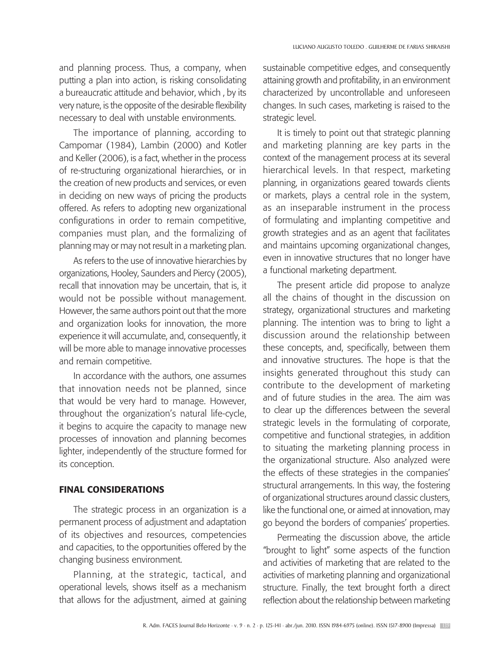and planning process. Thus, a company, when putting a plan into action, is risking consolidating a bureaucratic attitude and behavior, which , by its very nature, is the opposite of the desirable flexibility necessary to deal with unstable environments.

The importance of planning, according to Campomar (1984), Lambin (2000) and Kotler and Keller (2006), is a fact, whether in the process of re-structuring organizational hierarchies, or in the creation of new products and services, or even in deciding on new ways of pricing the products offered. As refers to adopting new organizational configurations in order to remain competitive, companies must plan, and the formalizing of planning may or may not result in a marketing plan.

As refers to the use of innovative hierarchies by organizations, Hooley, Saunders and Piercy (2005), recall that innovation may be uncertain, that is, it would not be possible without management. However, the same authors point out that the more and organization looks for innovation, the more experience it will accumulate, and, consequently, it will be more able to manage innovative processes and remain competitive.

In accordance with the authors, one assumes that innovation needs not be planned, since that would be very hard to manage. However, throughout the organization's natural life-cycle, it begins to acquire the capacity to manage new processes of innovation and planning becomes lighter, independently of the structure formed for its conception.

### Final Considerations

The strategic process in an organization is a permanent process of adjustment and adaptation of its objectives and resources, competencies and capacities, to the opportunities offered by the changing business environment.

Planning, at the strategic, tactical, and operational levels, shows itself as a mechanism that allows for the adjustment, aimed at gaining sustainable competitive edges, and consequently attaining growth and profitability, in an environment characterized by uncontrollable and unforeseen changes. In such cases, marketing is raised to the strategic level.

It is timely to point out that strategic planning and marketing planning are key parts in the context of the management process at its several hierarchical levels. In that respect, marketing planning, in organizations geared towards clients or markets, plays a central role in the system, as an inseparable instrument in the process of formulating and implanting competitive and growth strategies and as an agent that facilitates and maintains upcoming organizational changes, even in innovative structures that no longer have a functional marketing department.

The present article did propose to analyze all the chains of thought in the discussion on strategy, organizational structures and marketing planning. The intention was to bring to light a discussion around the relationship between these concepts, and, specifically, between them and innovative structures. The hope is that the insights generated throughout this study can contribute to the development of marketing and of future studies in the area. The aim was to clear up the differences between the several strategic levels in the formulating of corporate, competitive and functional strategies, in addition to situating the marketing planning process in the organizational structure. Also analyzed were the effects of these strategies in the companies' structural arrangements. In this way, the fostering of organizational structures around classic clusters, like the functional one, or aimed at innovation, may go beyond the borders of companies' properties.

Permeating the discussion above, the article "brought to light" some aspects of the function and activities of marketing that are related to the activities of marketing planning and organizational structure. Finally, the text brought forth a direct reflection about the relationship between marketing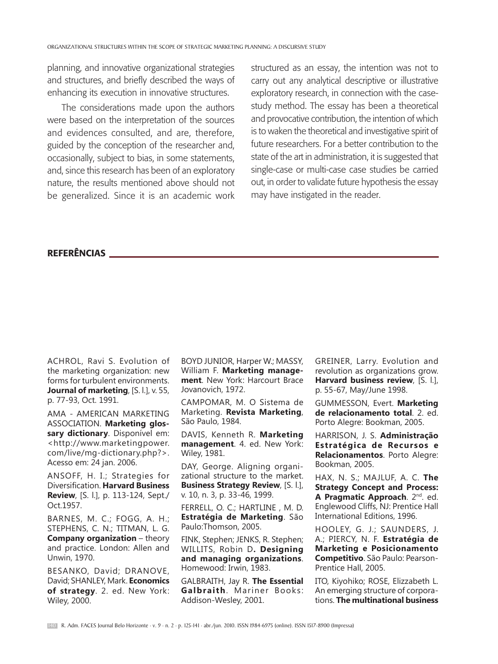planning, and innovative organizational strategies and structures, and briefly described the ways of enhancing its execution in innovative structures.

The considerations made upon the authors were based on the interpretation of the sources and evidences consulted, and are, therefore, guided by the conception of the researcher and, occasionally, subject to bias, in some statements, and, since this research has been of an exploratory nature, the results mentioned above should not be generalized. Since it is an academic work structured as an essay, the intention was not to carry out any analytical descriptive or illustrative exploratory research, in connection with the casestudy method. The essay has been a theoretical and provocative contribution, the intention of which is to waken the theoretical and investigative spirit of future researchers. For a better contribution to the state of the art in administration, it is suggested that single-case or multi-case case studies be carried out, in order to validate future hypothesis the essay may have instigated in the reader.

# referências

ACHROL, Ravi S. Evolution of the marketing organization: new forms for turbulent environments. **Journal of marketing**, [S. l.], v. 55, p. 77-93, Oct. 1991.

AMA - AMERICAN MARKETING ASSOCIATION. **Marketing glossary dictionary**. Disponível em: <http://www.marketingpower. com/live/mg-dictionary.php?>. Acesso em: 24 jan. 2006.

Ansoff, H. I.; Strategies for Diversification. **Harvard Business Review**, [S. l.], p. 113-124, Sept./ Oct.1957.

BARNES, M. C.; FOGG, A. H.; Stephens, C. N.; Titman, L. G. **Company organization – theory** and practice. London: Allen and Unwin, 1970.

BESANKO, David; DRANOVE, David; SHANLEY, Mark. **Economics of strategy**. 2. ed. New York: Wiley, 2000.

BOYD JUNIOR, Harper W.; MASSY, William F. **Marketing management**. New York: Harcourt Brace Jovanovich, 1972.

CAMPOMAR, M. O Sistema de Marketing. **Revista Marketing**, São Paulo, 1984.

DAVIS, Kenneth R. **Marketing management**. 4. ed. New York: Wiley, 1981.

DAY, George. Aligning organizational structure to the market. **Business Strategy Review**, [S. l.], v. 10, n. 3, p. 33-46, 1999.

FERRELL, O. C.; HARTLINE , M. D.

**Estratégia de Marketing**. São Paulo:Thomson, 2005.

FINK, Stephen; JENKS, R. Stephen; WILLITS, Robin D**. Designing and managing organizations**. Homewood: Irwin, 1983.

GALBRAITH, Jay R. **The Essential Galbraith**. Mariner Books: Addison-Wesley, 2001.

GREINER, Larry. Evolution and revolution as organizations grow. **Harvard business review**, [S. l.], p. 55-67, May/June 1998.

GUMMESSON, Evert. **Marketing de relacionamento total**. 2. ed. Porto Alegre: Bookman, 2005.

HARRISON, J. S. **Administração Estratégica de Recursos e Relacionamentos**. Porto Alegre: Bookman, 2005.

HAX, N. S.; MAJLUF, A. C. **The Strategy Concept and Process: A Pragmatic Approach**. 2nd. ed. Englewood Cliffs, NJ: Prentice Hall International Editions, 1996.

HOOLEY, G. J.; SAUNDERS, J. A.; PIERCY, N. F. **Estratégia de Marketing e Posicionamento Competitivo**. São Paulo: Pearson-Prentice Hall, 2005.

ITO, Kiyohiko; ROSE, Elizzabeth L. An emerging structure of corporations. **The multinational business**